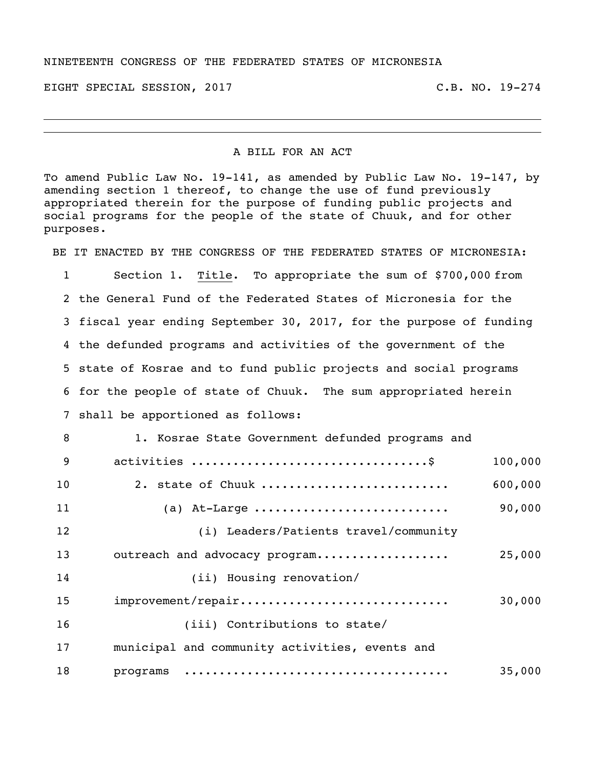## NINETEENTH CONGRESS OF THE FEDERATED STATES OF MICRONESIA

EIGHT SPECIAL SESSION, 2017 THE REAL SERVICE SERVICE SERVICE SERVICE SERVICE SERVICE SERVICE SERVICE SERVICE S

## A BILL FOR AN ACT

To amend Public Law No. 19-141, as amended by Public Law No. 19-147, by amending section 1 thereof, to change the use of fund previously appropriated therein for the purpose of funding public projects and social programs for the people of the state of Chuuk, and for other purposes.

BE IT ENACTED BY THE CONGRESS OF THE FEDERATED STATES OF MICRONESIA: Section 1. Title. To appropriate the sum of \$700,000 from the General Fund of the Federated States of Micronesia for the fiscal year ending September 30, 2017, for the purpose of funding

 the defunded programs and activities of the government of the state of Kosrae and to fund public projects and social programs for the people of state of Chuuk. The sum appropriated herein shall be apportioned as follows:

 1. Kosrae State Government defunded programs and activities ..................................\$ 100,000 2. state of Chuuk ........................... 600,000 (a) At-Large ............................ 90,000 (i) Leaders/Patients travel/community outreach and advocacy program................... 25,000 (ii) Housing renovation/ improvement/repair.............................. 30,000 16 (iii) Contributions to state/ municipal and community activities, events and programs ...................................... 35,000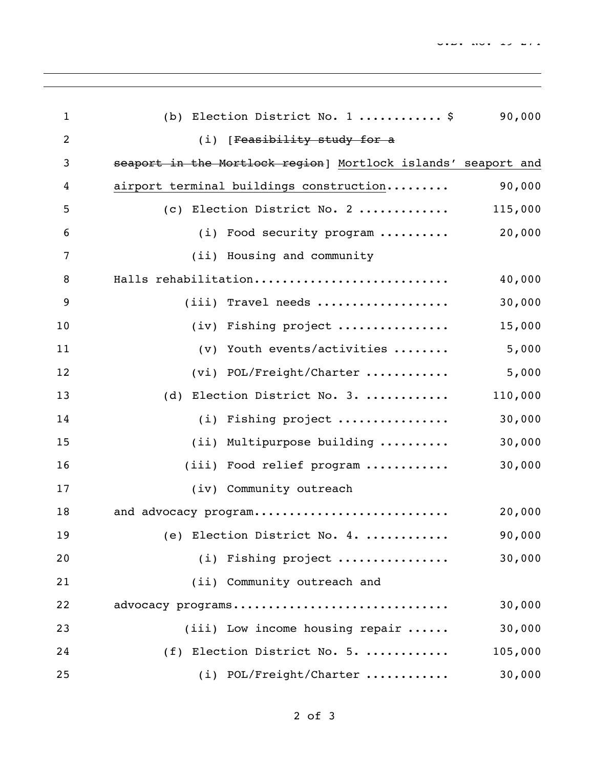| $\mathbf{1}$   | (b) Election District No. 1  \$                               | 90,000  |
|----------------|---------------------------------------------------------------|---------|
| $\overline{2}$ | (i) [Feasibility study for a                                  |         |
| 3              | seaport in the Mortlock region] Mortlock islands' seaport and |         |
| 4              | airport terminal buildings construction                       | 90,000  |
| 5              | (c) Election District No. 2                                   | 115,000 |
| 6              | (i) Food security program                                     | 20,000  |
| $\overline{7}$ | (ii) Housing and community                                    |         |
| 8              | Halls rehabilitation                                          | 40,000  |
| 9              | $(iii)$ Travel needs                                          | 30,000  |
| 10             | (iv) Fishing project                                          | 15,000  |
| 11             | $(v)$ Youth events/activities                                 | 5,000   |
| 12             | (vi) POL/Freight/Charter                                      | 5,000   |
| 13             | Election District No. 3.<br>(d)                               | 110,000 |
| 14             | (i) Fishing project                                           | 30,000  |
| 15             | (ii) Multipurpose building                                    | 30,000  |
| 16             | (iii) Food relief program                                     | 30,000  |
| 17             | (iv) Community outreach                                       |         |
| 18             | and advocacy program                                          | 20,000  |
| 19             | (e) Election District No. 4.                                  | 90,000  |
| 20             | (i) Fishing project                                           | 30,000  |
| 21             | (ii) Community outreach and                                   |         |
| 22             | advocacy programs                                             | 30,000  |
| 23             | $(iii)$ Low income housing repair $\dots$ .                   | 30,000  |
| 24             | (f) Election District No. 5.                                  | 105,000 |
| 25             | (i) POL/Freight/Charter                                       | 30,000  |